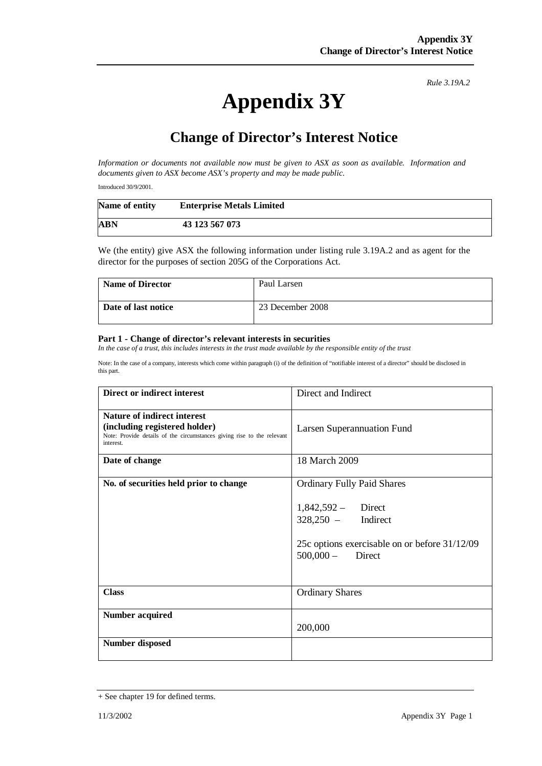*Rule 3.19A.2*

# **Appendix 3Y**

## **Change of Director's Interest Notice**

*Information or documents not available now must be given to ASX as soon as available. Information and documents given to ASX become ASX's property and may be made public.* 

Introduced 30/9/2001.

| Name of entity | <b>Enterprise Metals Limited</b> |  |
|----------------|----------------------------------|--|
| <b>ABN</b>     | 43 123 567 073                   |  |

We (the entity) give ASX the following information under listing rule 3.19A.2 and as agent for the director for the purposes of section 205G of the Corporations Act.

| <b>Name of Director</b> | Paul Larsen      |
|-------------------------|------------------|
| Date of last notice     | 23 December 2008 |

#### **Part 1 - Change of director's relevant interests in securities**

*In the case of a trust, this includes interests in the trust made available by the responsible entity of the trust* 

Note: In the case of a company, interests which come within paragraph (i) of the definition of "notifiable interest of a director" should be disclosed in this part.

| Direct or indirect interest                                                                                                                         | Direct and Indirect                                                                                                                                         |
|-----------------------------------------------------------------------------------------------------------------------------------------------------|-------------------------------------------------------------------------------------------------------------------------------------------------------------|
| Nature of indirect interest<br>(including registered holder)<br>Note: Provide details of the circumstances giving rise to the relevant<br>interest. | Larsen Superannuation Fund                                                                                                                                  |
| Date of change                                                                                                                                      | 18 March 2009                                                                                                                                               |
| No. of securities held prior to change                                                                                                              | <b>Ordinary Fully Paid Shares</b><br>$1,842,592 -$ Direct<br>$328,250 -$ Indirect<br>25c options exercisable on or before 31/12/09<br>$500,000 -$<br>Direct |
| <b>Class</b>                                                                                                                                        | <b>Ordinary Shares</b>                                                                                                                                      |
| <b>Number acquired</b>                                                                                                                              | 200,000                                                                                                                                                     |
| <b>Number disposed</b>                                                                                                                              |                                                                                                                                                             |

<sup>+</sup> See chapter 19 for defined terms.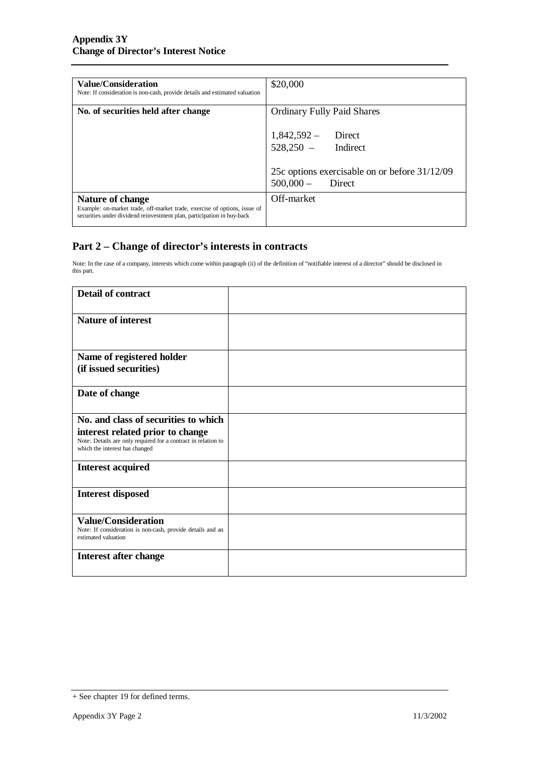| Value/Consideration<br>Note: If consideration is non-cash, provide details and estimated valuation                                                                      | \$20,000                                                                      |
|-------------------------------------------------------------------------------------------------------------------------------------------------------------------------|-------------------------------------------------------------------------------|
| No. of securities held after change                                                                                                                                     | <b>Ordinary Fully Paid Shares</b>                                             |
|                                                                                                                                                                         | $1,842,592 -$ Direct<br>528,250 - Indirect                                    |
|                                                                                                                                                                         |                                                                               |
|                                                                                                                                                                         | 25c options exercisable on or before 31/12/09<br>$500,000 -$<br><b>Direct</b> |
|                                                                                                                                                                         | Off-market                                                                    |
| Nature of change<br>Example: on-market trade, off-market trade, exercise of options, issue of<br>securities under dividend reinvestment plan, participation in buy-back |                                                                               |

### **Part 2 – Change of director's interests in contracts**

Note: In the case of a company, interests which come within paragraph (ii) of the definition of "notifiable interest of a director" should be disclosed in this part.

| <b>Detail of contract</b>                                                                                                           |  |
|-------------------------------------------------------------------------------------------------------------------------------------|--|
| <b>Nature of interest</b>                                                                                                           |  |
| Name of registered holder                                                                                                           |  |
| (if issued securities)                                                                                                              |  |
| Date of change                                                                                                                      |  |
| No. and class of securities to which                                                                                                |  |
| interest related prior to change<br>Note: Details are only required for a contract in relation to<br>which the interest has changed |  |
| <b>Interest acquired</b>                                                                                                            |  |
| <b>Interest disposed</b>                                                                                                            |  |
| <b>Value/Consideration</b><br>Note: If consideration is non-cash, provide details and an<br>estimated valuation                     |  |
| <b>Interest after change</b>                                                                                                        |  |

<sup>+</sup> See chapter 19 for defined terms.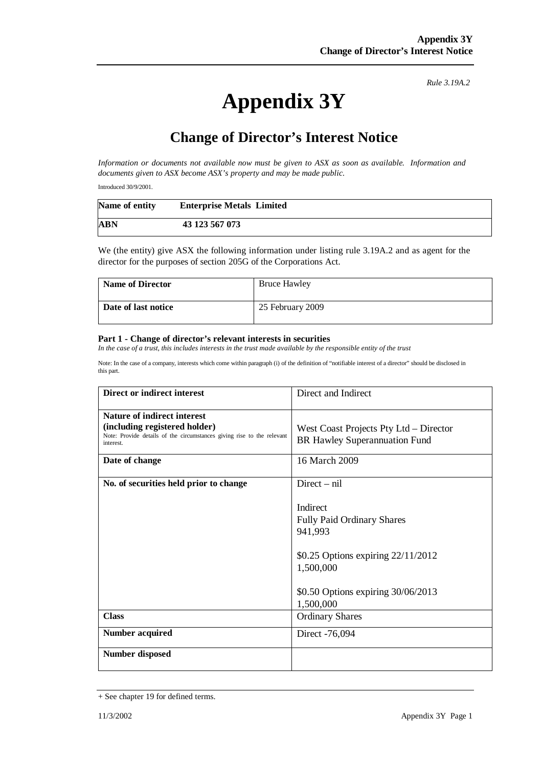*Rule 3.19A.2*

# **Appendix 3Y**

## **Change of Director's Interest Notice**

*Information or documents not available now must be given to ASX as soon as available. Information and documents given to ASX become ASX's property and may be made public.* 

Introduced 30/9/2001.

| Name of entity | <b>Enterprise Metals Limited</b> |
|----------------|----------------------------------|
| <b>ABN</b>     | 43 123 567 073                   |

We (the entity) give ASX the following information under listing rule 3.19A.2 and as agent for the director for the purposes of section 205G of the Corporations Act.

| <b>Name of Director</b> | <b>Bruce Hawley</b> |
|-------------------------|---------------------|
| Date of last notice     | 25 February 2009    |

#### **Part 1 - Change of director's relevant interests in securities**

*In the case of a trust, this includes interests in the trust made available by the responsible entity of the trust* 

Note: In the case of a company, interests which come within paragraph (i) of the definition of "notifiable interest of a director" should be disclosed in this part.

| Direct or indirect interest                                                                                                                                           | Direct and Indirect                                                                                                                                                              |
|-----------------------------------------------------------------------------------------------------------------------------------------------------------------------|----------------------------------------------------------------------------------------------------------------------------------------------------------------------------------|
| Nature of indirect interest<br>(including registered holder)<br>Note: Provide details of the circumstances giving rise to the relevant<br>interest.<br>Date of change | West Coast Projects Pty Ltd – Director<br>BR Hawley Superannuation Fund<br>16 March 2009                                                                                         |
| No. of securities held prior to change                                                                                                                                | $Direct - nil$<br>Indirect<br><b>Fully Paid Ordinary Shares</b><br>941,993<br>\$0.25 Options expiring 22/11/2012<br>1,500,000<br>\$0.50 Options expiring 30/06/2013<br>1,500,000 |
| <b>Class</b>                                                                                                                                                          | <b>Ordinary Shares</b>                                                                                                                                                           |
| <b>Number acquired</b>                                                                                                                                                | Direct -76,094                                                                                                                                                                   |
| <b>Number disposed</b>                                                                                                                                                |                                                                                                                                                                                  |

<sup>+</sup> See chapter 19 for defined terms.